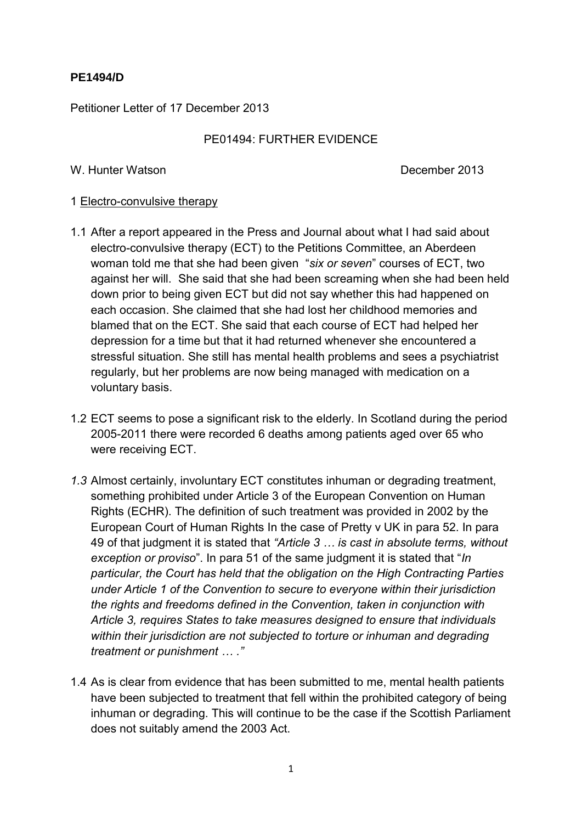# **PE1494/D**

Petitioner Letter of 17 December 2013

## PE01494: FURTHER EVIDENCE

#### W. Hunter Watson **December 2013**

### 1 Electro-convulsive therapy

- 1.1 After a report appeared in the Press and Journal about what I had said about electro-convulsive therapy (ECT) to the Petitions Committee, an Aberdeen woman told me that she had been given "*six or seven*" courses of ECT, two against her will. She said that she had been screaming when she had been held down prior to being given ECT but did not say whether this had happened on each occasion. She claimed that she had lost her childhood memories and blamed that on the ECT. She said that each course of ECT had helped her depression for a time but that it had returned whenever she encountered a stressful situation. She still has mental health problems and sees a psychiatrist regularly, but her problems are now being managed with medication on a voluntary basis.
- 1.2 ECT seems to pose a significant risk to the elderly. In Scotland during the period 2005-2011 there were recorded 6 deaths among patients aged over 65 who were receiving ECT.
- *1.3* Almost certainly, involuntary ECT constitutes inhuman or degrading treatment, something prohibited under Article 3 of the European Convention on Human Rights (ECHR). The definition of such treatment was provided in 2002 by the European Court of Human Rights In the case of Pretty v UK in para 52. In para 49 of that judgment it is stated that *"Article 3 … is cast in absolute terms, without exception or proviso*". In para 51 of the same judgment it is stated that "*In particular, the Court has held that the obligation on the High Contracting Parties under Article 1 of the Convention to secure to everyone within their jurisdiction the rights and freedoms defined in the Convention, taken in conjunction with Article 3, requires States to take measures designed to ensure that individuals within their jurisdiction are not subjected to torture or inhuman and degrading treatment or punishment … ."*
- 1.4 As is clear from evidence that has been submitted to me, mental health patients have been subjected to treatment that fell within the prohibited category of being inhuman or degrading. This will continue to be the case if the Scottish Parliament does not suitably amend the 2003 Act.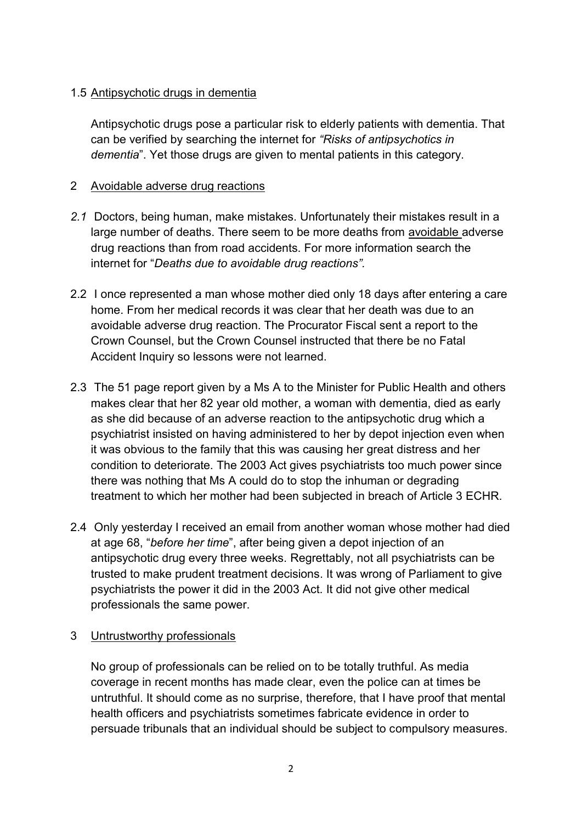## 1.5 Antipsychotic drugs in dementia

Antipsychotic drugs pose a particular risk to elderly patients with dementia. That can be verified by searching the internet for *"Risks of antipsychotics in dementia*". Yet those drugs are given to mental patients in this category.

## 2 Avoidable adverse drug reactions

- *2.1* Doctors, being human, make mistakes. Unfortunately their mistakes result in a large number of deaths. There seem to be more deaths from avoidable adverse drug reactions than from road accidents. For more information search the internet for "*Deaths due to avoidable drug reactions".*
- 2.2 I once represented a man whose mother died only 18 days after entering a care home. From her medical records it was clear that her death was due to an avoidable adverse drug reaction. The Procurator Fiscal sent a report to the Crown Counsel, but the Crown Counsel instructed that there be no Fatal Accident Inquiry so lessons were not learned.
- 2.3 The 51 page report given by a Ms A to the Minister for Public Health and others makes clear that her 82 year old mother, a woman with dementia, died as early as she did because of an adverse reaction to the antipsychotic drug which a psychiatrist insisted on having administered to her by depot injection even when it was obvious to the family that this was causing her great distress and her condition to deteriorate. The 2003 Act gives psychiatrists too much power since there was nothing that Ms A could do to stop the inhuman or degrading treatment to which her mother had been subjected in breach of Article 3 ECHR.
- 2.4 Only yesterday I received an email from another woman whose mother had died at age 68, "*before her time*", after being given a depot injection of an antipsychotic drug every three weeks. Regrettably, not all psychiatrists can be trusted to make prudent treatment decisions. It was wrong of Parliament to give psychiatrists the power it did in the 2003 Act. It did not give other medical professionals the same power.

#### 3 Untrustworthy professionals

No group of professionals can be relied on to be totally truthful. As media coverage in recent months has made clear, even the police can at times be untruthful. It should come as no surprise, therefore, that I have proof that mental health officers and psychiatrists sometimes fabricate evidence in order to persuade tribunals that an individual should be subject to compulsory measures.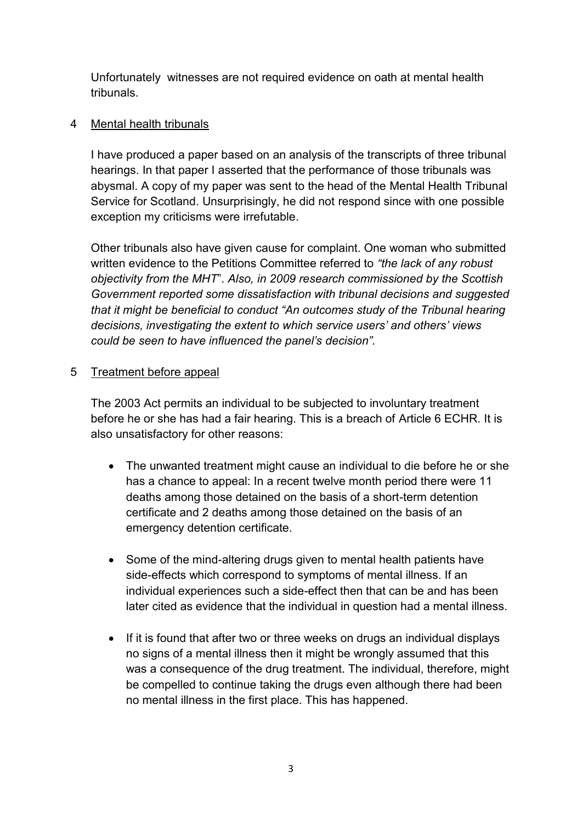Unfortunately witnesses are not required evidence on oath at mental health tribunals.

# 4 Mental health tribunals

I have produced a paper based on an analysis of the transcripts of three tribunal hearings. In that paper I asserted that the performance of those tribunals was abysmal. A copy of my paper was sent to the head of the Mental Health Tribunal Service for Scotland. Unsurprisingly, he did not respond since with one possible exception my criticisms were irrefutable.

Other tribunals also have given cause for complaint. One woman who submitted written evidence to the Petitions Committee referred to *"the lack of any robust objectivity from the MHT*". *Also, in 2009 research commissioned by the Scottish Government reported some dissatisfaction with tribunal decisions and suggested that it might be beneficial to conduct "An outcomes study of the Tribunal hearing decisions, investigating the extent to which service users' and others' views could be seen to have influenced the panel's decision".* 

# 5 Treatment before appeal

The 2003 Act permits an individual to be subjected to involuntary treatment before he or she has had a fair hearing. This is a breach of Article 6 ECHR. It is also unsatisfactory for other reasons:

- The unwanted treatment might cause an individual to die before he or she has a chance to appeal: In a recent twelve month period there were 11 deaths among those detained on the basis of a short-term detention certificate and 2 deaths among those detained on the basis of an emergency detention certificate.
- Some of the mind-altering drugs given to mental health patients have side-effects which correspond to symptoms of mental illness. If an individual experiences such a side-effect then that can be and has been later cited as evidence that the individual in question had a mental illness.
- If it is found that after two or three weeks on drugs an individual displays no signs of a mental illness then it might be wrongly assumed that this was a consequence of the drug treatment. The individual, therefore, might be compelled to continue taking the drugs even although there had been no mental illness in the first place. This has happened.